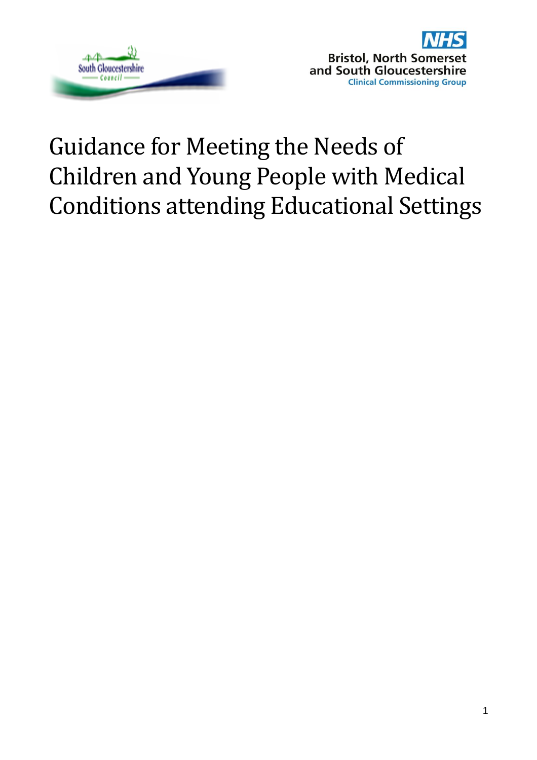



# Guidance for Meeting the Needs of Children and Young People with Medical Conditions attending Educational Settings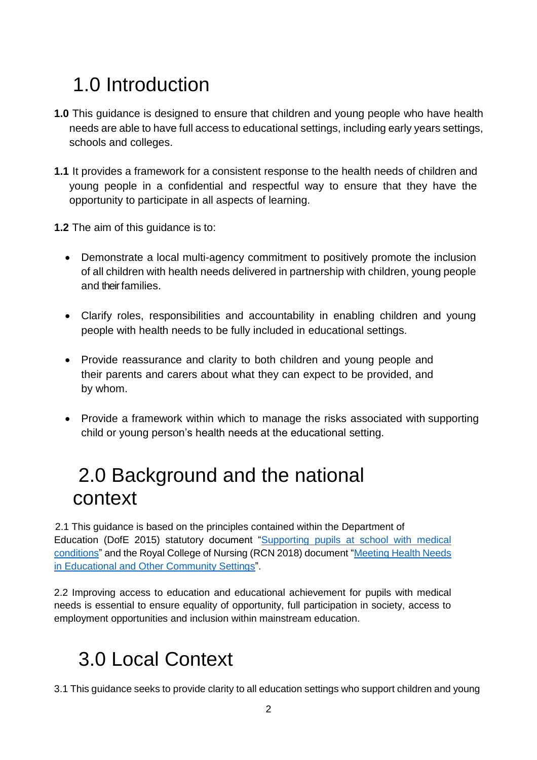# 1.0 Introduction

- **1.0** This guidance is designed to ensure that children and young people who have health needs are able to have full access to educational settings, including early years settings, schools and colleges.
- **1.1** It provides a framework for a consistent response to the health needs of children and young people in a confidential and respectful way to ensure that they have the opportunity to participate in all aspects of learning.
- **1.2** The aim of this guidance is to:
	- Demonstrate a local multi-agency commitment to positively promote the inclusion of all children with health needs delivered in partnership with children, young people and their families.
	- Clarify roles, responsibilities and accountability in enabling children and young people with health needs to be fully included in educational settings.
	- Provide reassurance and clarity to both children and young people and their parents and carers about what they can expect to be provided, and by whom.
	- Provide a framework within which to manage the risks associated with supporting child or young person's health needs at the educational setting.

## 2.0 Background and the national context

2.1 This guidance is based on the principles contained within the Department of Education (DofE 2015) statutory document ["Supporting pupils at school with medical](https://assets.publishing.service.gov.uk/government/uploads/system/uploads/attachment_data/file/803956/supporting-pupils-at-school-with-medical-conditions.pdf)  [conditions"](https://assets.publishing.service.gov.uk/government/uploads/system/uploads/attachment_data/file/803956/supporting-pupils-at-school-with-medical-conditions.pdf) and the Royal College of Nursing (RCN 2018) document ["Meeting Health Needs](https://www.rcn.org.uk/professional-development/publications/pdf-006634.)  in Educational [and Other Community Settings"](https://www.rcn.org.uk/professional-development/publications/pdf-006634.).

2.2 Improving access to education and educational achievement for pupils with medical needs is essential to ensure equality of opportunity, full participation in society, access to employment opportunities and inclusion within mainstream education.

## 3.0 Local Context

3.1 This guidance seeks to provide clarity to all education settings who support children and young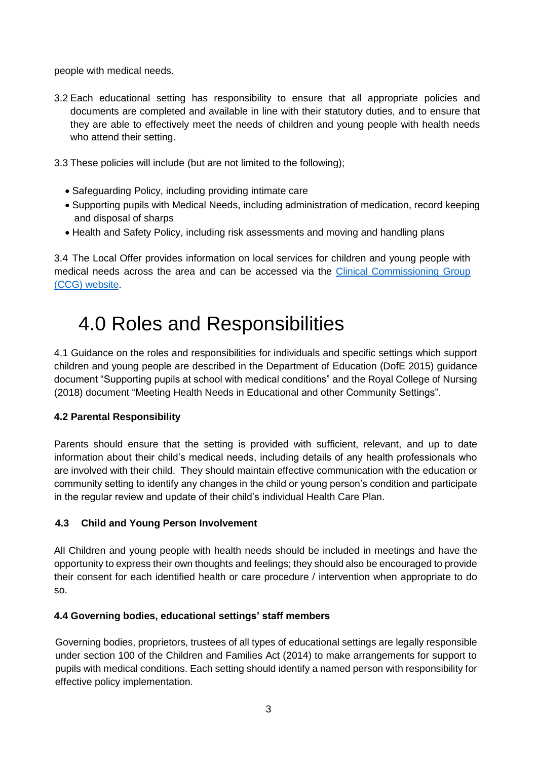people with medical needs.

- 3.2 Each educational setting has responsibility to ensure that all appropriate policies and documents are completed and available in line with their statutory duties, and to ensure that they are able to effectively meet the needs of children and young people with health needs who attend their setting.
- 3.3 These policies will include (but are not limited to the following);
	- Safeguarding Policy, including providing intimate care
	- Supporting pupils with Medical Needs, including administration of medication, record keeping and disposal of sharps
	- Health and Safety Policy, including risk assessments and moving and handling plans

3.4 The Local Offer provides information on local services for children and young people with medical needs across the area and can be accessed via the Clinical Commissioning Group [\(CCG\) website.](https://bnssgccg.nhs.uk/health-advice-and-support/children-with-additional-needs/)

## 4.0 Roles and Responsibilities

4.1 Guidance on the roles and responsibilities for individuals and specific settings which support children and young people are described in the Department of Education (DofE 2015) guidance document "Supporting pupils at school with medical conditions" and the Royal College of Nursing (2018) document "Meeting Health Needs in Educational and other Community Settings".

### **4.2 Parental Responsibility**

Parents should ensure that the setting is provided with sufficient, relevant, and up to date information about their child's medical needs, including details of any health professionals who are involved with their child. They should maintain effective communication with the education or community setting to identify any changes in the child or young person's condition and participate in the regular review and update of their child's individual Health Care Plan.

### **4.3 Child and Young Person Involvement**

All Children and young people with health needs should be included in meetings and have the opportunity to express their own thoughts and feelings; they should also be encouraged to provide their consent for each identified health or care procedure / intervention when appropriate to do so.

### **4.4 Governing bodies, educational settings' staff members**

Governing bodies, proprietors, trustees of all types of educational settings are legally responsible under section 100 of the Children and Families Act (2014) to make arrangements for support to pupils with medical conditions. Each setting should identify a named person with responsibility for effective policy implementation.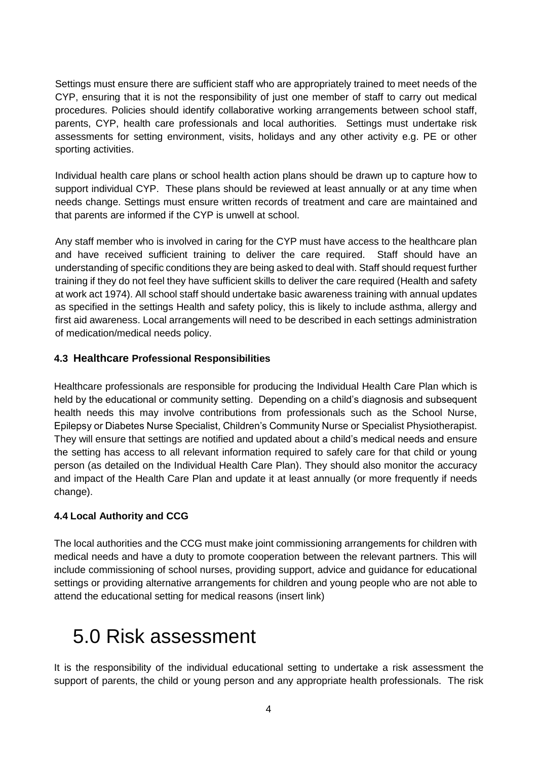Settings must ensure there are sufficient staff who are appropriately trained to meet needs of the CYP, ensuring that it is not the responsibility of just one member of staff to carry out medical procedures. Policies should identify collaborative working arrangements between school staff, parents, CYP, health care professionals and local authorities. Settings must undertake risk assessments for setting environment, visits, holidays and any other activity e.g. PE or other sporting activities.

Individual health care plans or school health action plans should be drawn up to capture how to support individual CYP. These plans should be reviewed at least annually or at any time when needs change. Settings must ensure written records of treatment and care are maintained and that parents are informed if the CYP is unwell at school.

Any staff member who is involved in caring for the CYP must have access to the healthcare plan and have received sufficient training to deliver the care required. Staff should have an understanding of specific conditions they are being asked to deal with. Staff should request further training if they do not feel they have sufficient skills to deliver the care required (Health and safety at work act 1974). All school staff should undertake basic awareness training with annual updates as specified in the settings Health and safety policy, this is likely to include asthma, allergy and first aid awareness. Local arrangements will need to be described in each settings administration of medication/medical needs policy.

### **4.3 Healthcare Professional Responsibilities**

Healthcare professionals are responsible for producing the Individual Health Care Plan which is held by the educational or community setting. Depending on a child's diagnosis and subsequent health needs this may involve contributions from professionals such as the School Nurse, Epilepsy or Diabetes Nurse Specialist, Children's Community Nurse or Specialist Physiotherapist. They will ensure that settings are notified and updated about a child's medical needs and ensure the setting has access to all relevant information required to safely care for that child or young person (as detailed on the Individual Health Care Plan). They should also monitor the accuracy and impact of the Health Care Plan and update it at least annually (or more frequently if needs change).

#### **4.4 Local Authority and CCG**

The local authorities and the CCG must make joint commissioning arrangements for children with medical needs and have a duty to promote cooperation between the relevant partners. This will include commissioning of school nurses, providing support, advice and guidance for educational settings or providing alternative arrangements for children and young people who are not able to attend the educational setting for medical reasons (insert link)

### 5.0 Risk assessment

It is the responsibility of the individual educational setting to undertake a risk assessment the support of parents, the child or young person and any appropriate health professionals. The risk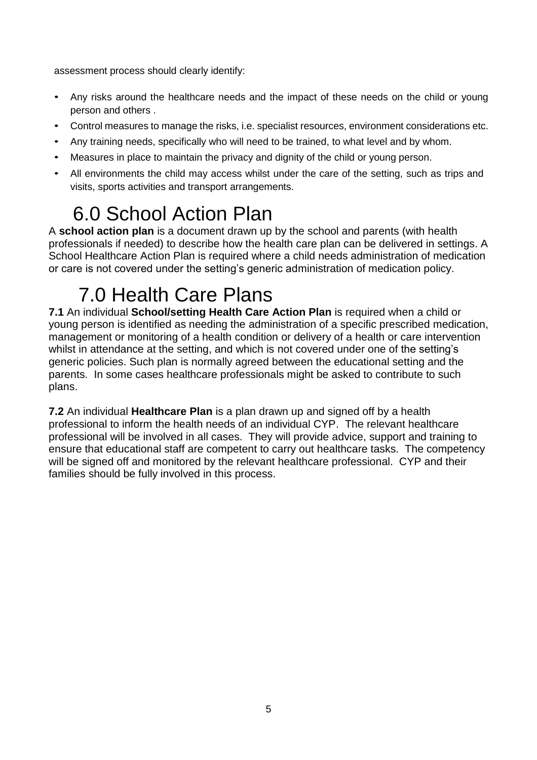assessment process should clearly identify:

- Any risks around the healthcare needs and the impact of these needs on the child or young person and others .
- Control measures to manage the risks, i.e. specialist resources, environment considerations etc.
- Any training needs, specifically who will need to be trained, to what level and by whom.
- Measures in place to maintain the privacy and dignity of the child or young person.
- All environments the child may access whilst under the care of the setting, such as trips and visits, sports activities and transport arrangements.

## 6.0 School Action Plan

A **school action plan** is a document drawn up by the school and parents (with health professionals if needed) to describe how the health care plan can be delivered in settings. A School Healthcare Action Plan is required where a child needs administration of medication or care is not covered under the setting's generic administration of medication policy.

## 7.0 Health Care Plans

**7.1** An individual **School/setting Health Care Action Plan** is required when a child or young person is identified as needing the administration of a specific prescribed medication, management or monitoring of a health condition or delivery of a health or care intervention whilst in attendance at the setting, and which is not covered under one of the setting's generic policies. Such plan is normally agreed between the educational setting and the parents. In some cases healthcare professionals might be asked to contribute to such plans.

**7.2** An individual **Healthcare Plan** is a plan drawn up and signed off by a health professional to inform the health needs of an individual CYP. The relevant healthcare professional will be involved in all cases. They will provide advice, support and training to ensure that educational staff are competent to carry out healthcare tasks. The competency will be signed off and monitored by the relevant healthcare professional. CYP and their families should be fully involved in this process.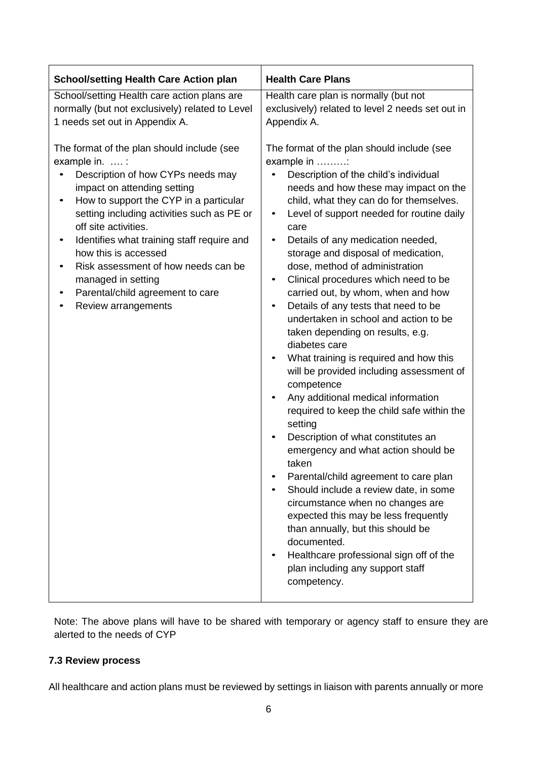| <b>School/setting Health Care Action plan</b>                                                                                                                                                                                                                                                                                                                                                                                                               | <b>Health Care Plans</b>                                                                                                                                                                                                                                                                                                                                                                                                                                                                                                                                                                                                                                                                                                                                                                                                                                                                                                                                                                                                                                                                                                                                                                                  |
|-------------------------------------------------------------------------------------------------------------------------------------------------------------------------------------------------------------------------------------------------------------------------------------------------------------------------------------------------------------------------------------------------------------------------------------------------------------|-----------------------------------------------------------------------------------------------------------------------------------------------------------------------------------------------------------------------------------------------------------------------------------------------------------------------------------------------------------------------------------------------------------------------------------------------------------------------------------------------------------------------------------------------------------------------------------------------------------------------------------------------------------------------------------------------------------------------------------------------------------------------------------------------------------------------------------------------------------------------------------------------------------------------------------------------------------------------------------------------------------------------------------------------------------------------------------------------------------------------------------------------------------------------------------------------------------|
| School/setting Health care action plans are<br>normally (but not exclusively) related to Level<br>1 needs set out in Appendix A.                                                                                                                                                                                                                                                                                                                            | Health care plan is normally (but not<br>exclusively) related to level 2 needs set out in<br>Appendix A.                                                                                                                                                                                                                                                                                                                                                                                                                                                                                                                                                                                                                                                                                                                                                                                                                                                                                                                                                                                                                                                                                                  |
| The format of the plan should include (see<br>example in.  :<br>Description of how CYPs needs may<br>impact on attending setting<br>How to support the CYP in a particular<br>$\bullet$<br>setting including activities such as PE or<br>off site activities.<br>Identifies what training staff require and<br>how this is accessed<br>Risk assessment of how needs can be<br>managed in setting<br>Parental/child agreement to care<br>Review arrangements | The format of the plan should include (see<br>example in :<br>Description of the child's individual<br>needs and how these may impact on the<br>child, what they can do for themselves.<br>Level of support needed for routine daily<br>٠<br>care<br>Details of any medication needed,<br>storage and disposal of medication,<br>dose, method of administration<br>Clinical procedures which need to be<br>$\bullet$<br>carried out, by whom, when and how<br>Details of any tests that need to be<br>undertaken in school and action to be<br>taken depending on results, e.g.<br>diabetes care<br>What training is required and how this<br>will be provided including assessment of<br>competence<br>Any additional medical information<br>required to keep the child safe within the<br>setting<br>Description of what constitutes an<br>emergency and what action should be<br>taken<br>Parental/child agreement to care plan<br>Should include a review date, in some<br>circumstance when no changes are<br>expected this may be less frequently<br>than annually, but this should be<br>documented.<br>Healthcare professional sign off of the<br>plan including any support staff<br>competency. |

Note: The above plans will have to be shared with temporary or agency staff to ensure they are alerted to the needs of CYP

### **7.3 Review process**

All healthcare and action plans must be reviewed by settings in liaison with parents annually or more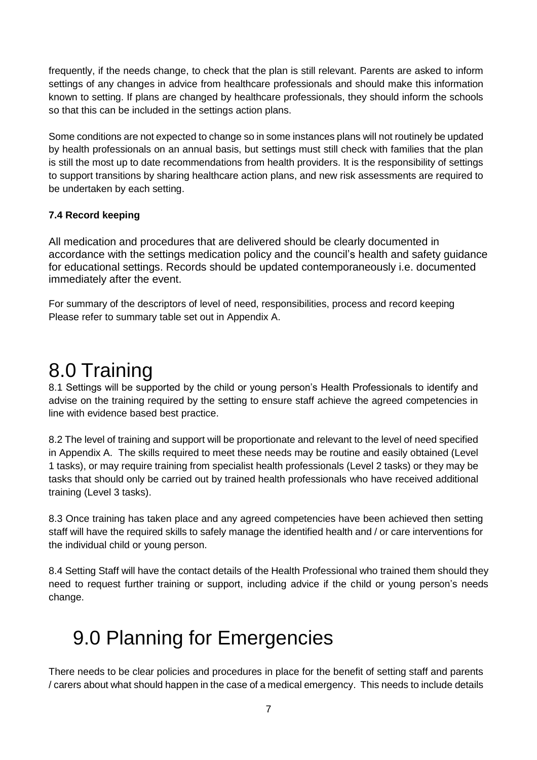frequently, if the needs change, to check that the plan is still relevant. Parents are asked to inform settings of any changes in advice from healthcare professionals and should make this information known to setting. If plans are changed by healthcare professionals, they should inform the schools so that this can be included in the settings action plans.

Some conditions are not expected to change so in some instances plans will not routinely be updated by health professionals on an annual basis, but settings must still check with families that the plan is still the most up to date recommendations from health providers. It is the responsibility of settings to support transitions by sharing healthcare action plans, and new risk assessments are required to be undertaken by each setting.

### **7.4 Record keeping**

All medication and procedures that are delivered should be clearly documented in accordance with the settings medication policy and the council's health and safety guidance for educational settings. Records should be updated contemporaneously i.e. documented immediately after the event.

For summary of the descriptors of level of need, responsibilities, process and record keeping Please refer to summary table set out in Appendix A.

### 8.0 Training

8.1 Settings will be supported by the child or young person's Health Professionals to identify and advise on the training required by the setting to ensure staff achieve the agreed competencies in line with evidence based best practice.

8.2 The level of training and support will be proportionate and relevant to the level of need specified in Appendix A. The skills required to meet these needs may be routine and easily obtained (Level 1 tasks), or may require training from specialist health professionals (Level 2 tasks) or they may be tasks that should only be carried out by trained health professionals who have received additional training (Level 3 tasks).

8.3 Once training has taken place and any agreed competencies have been achieved then setting staff will have the required skills to safely manage the identified health and / or care interventions for the individual child or young person.

8.4 Setting Staff will have the contact details of the Health Professional who trained them should they need to request further training or support, including advice if the child or young person's needs change.

### 9.0 Planning for Emergencies

There needs to be clear policies and procedures in place for the benefit of setting staff and parents / carers about what should happen in the case of a medical emergency. This needs to include details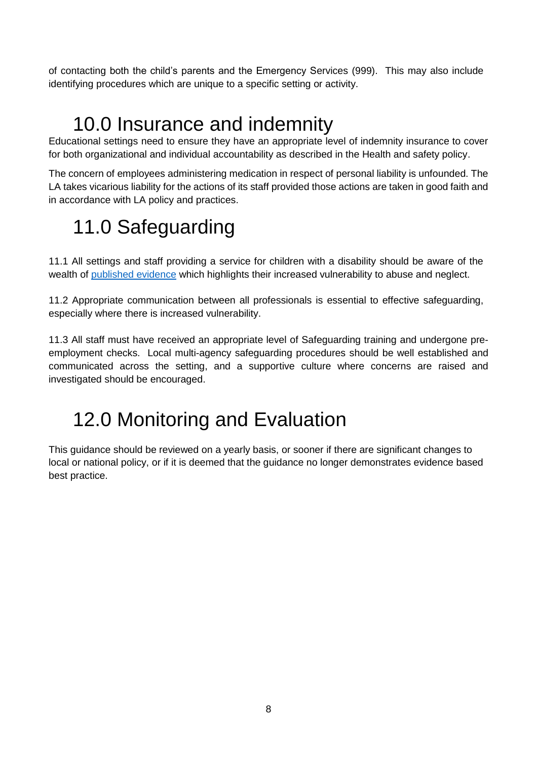of contacting both the child's parents and the Emergency Services (999). This may also include identifying procedures which are unique to a specific setting or activity.

## 10.0 Insurance and indemnity

Educational settings need to ensure they have an appropriate level of indemnity insurance to cover for both organizational and individual accountability as described in the Health and safety policy.

The concern of employees administering medication in respect of personal liability is unfounded. The LA takes vicarious liability for the actions of its staff provided those actions are taken in good faith and in accordance with LA policy and practices.

# 11.0 Safeguarding

11.1 All settings and staff providing a service for children with a disability should be aware of the wealth of [published evidence](https://www.gov.uk/topic/schools-colleges-childrens-services/safeguarding-children) which highlights their increased vulnerability to abuse and neglect.

11.2 Appropriate communication between all professionals is essential to effective safeguarding, especially where there is increased vulnerability.

11.3 All staff must have received an appropriate level of Safeguarding training and undergone preemployment checks. Local multi-agency safeguarding procedures should be well established and communicated across the setting, and a supportive culture where concerns are raised and investigated should be encouraged.

## 12.0 Monitoring and Evaluation

This guidance should be reviewed on a yearly basis, or sooner if there are significant changes to local or national policy, or if it is deemed that the guidance no longer demonstrates evidence based best practice.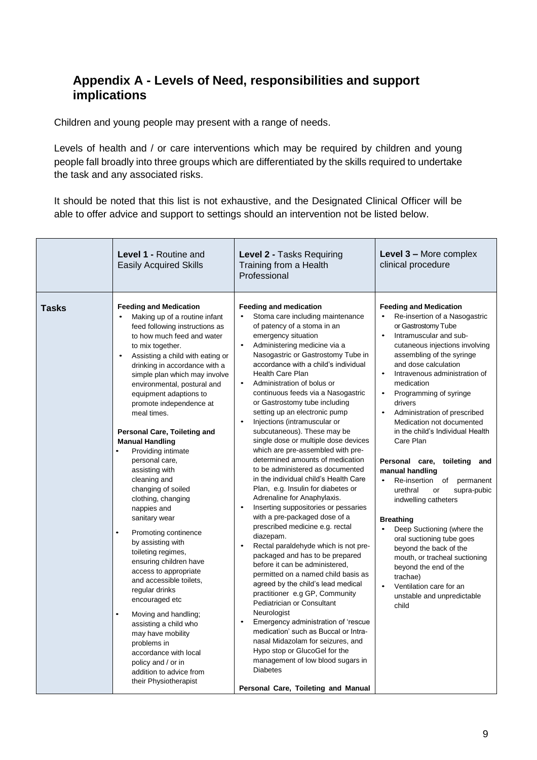### **Appendix A - Levels of Need, responsibilities and support implications**

Children and young people may present with a range of needs.

Levels of health and / or care interventions which may be required by children and young people fall broadly into three groups which are differentiated by the skills required to undertake the task and any associated risks.

It should be noted that this list is not exhaustive, and the Designated Clinical Officer will be able to offer advice and support to settings should an intervention not be listed below.

|              | <b>Level 1 - Routine and</b><br><b>Easily Acquired Skills</b>                                                                                                                                                                                                                                                                                                                                                                                                                                                                                                                                                                                                                                                                                                                                                                                                                                                                                                                      | Level 2 - Tasks Requiring<br>Training from a Health<br>Professional                                                                                                                                                                                                                                                                                                                                                                                                                                                                                                                                                                                                                                                                                                                                                                                                                                                                                                                                                                                                                                                                                                                                                                                                                                                                                                                                                      | Level 3 - More complex<br>clinical procedure                                                                                                                                                                                                                                                                                                                                                                                                                                                                                                                                                                                                                                                                                                                                                                                                                                           |
|--------------|------------------------------------------------------------------------------------------------------------------------------------------------------------------------------------------------------------------------------------------------------------------------------------------------------------------------------------------------------------------------------------------------------------------------------------------------------------------------------------------------------------------------------------------------------------------------------------------------------------------------------------------------------------------------------------------------------------------------------------------------------------------------------------------------------------------------------------------------------------------------------------------------------------------------------------------------------------------------------------|--------------------------------------------------------------------------------------------------------------------------------------------------------------------------------------------------------------------------------------------------------------------------------------------------------------------------------------------------------------------------------------------------------------------------------------------------------------------------------------------------------------------------------------------------------------------------------------------------------------------------------------------------------------------------------------------------------------------------------------------------------------------------------------------------------------------------------------------------------------------------------------------------------------------------------------------------------------------------------------------------------------------------------------------------------------------------------------------------------------------------------------------------------------------------------------------------------------------------------------------------------------------------------------------------------------------------------------------------------------------------------------------------------------------------|----------------------------------------------------------------------------------------------------------------------------------------------------------------------------------------------------------------------------------------------------------------------------------------------------------------------------------------------------------------------------------------------------------------------------------------------------------------------------------------------------------------------------------------------------------------------------------------------------------------------------------------------------------------------------------------------------------------------------------------------------------------------------------------------------------------------------------------------------------------------------------------|
| <b>Tasks</b> | <b>Feeding and Medication</b><br>Making up of a routine infant<br>feed following instructions as<br>to how much feed and water<br>to mix together.<br>Assisting a child with eating or<br>$\bullet$<br>drinking in accordance with a<br>simple plan which may involve<br>environmental, postural and<br>equipment adaptions to<br>promote independence at<br>meal times.<br>Personal Care, Toileting and<br><b>Manual Handling</b><br>Providing intimate<br>$\bullet$<br>personal care,<br>assisting with<br>cleaning and<br>changing of soiled<br>clothing, changing<br>nappies and<br>sanitary wear<br>Promoting continence<br>by assisting with<br>toileting regimes,<br>ensuring children have<br>access to appropriate<br>and accessible toilets,<br>regular drinks<br>encouraged etc<br>Moving and handling;<br>assisting a child who<br>may have mobility<br>problems in<br>accordance with local<br>policy and / or in<br>addition to advice from<br>their Physiotherapist | <b>Feeding and medication</b><br>Stoma care including maintenance<br>of patency of a stoma in an<br>emergency situation<br>Administering medicine via a<br>Nasogastric or Gastrostomy Tube in<br>accordance with a child's individual<br><b>Health Care Plan</b><br>Administration of bolus or<br>$\bullet$<br>continuous feeds via a Nasogastric<br>or Gastrostomy tube including<br>setting up an electronic pump<br>Injections (intramuscular or<br>subcutaneous). These may be<br>single dose or multiple dose devices<br>which are pre-assembled with pre-<br>determined amounts of medication<br>to be administered as documented<br>in the individual child's Health Care<br>Plan, e.g. Insulin for diabetes or<br>Adrenaline for Anaphylaxis.<br>Inserting suppositories or pessaries<br>with a pre-packaged dose of a<br>prescribed medicine e.g. rectal<br>diazepam.<br>Rectal paraldehyde which is not pre-<br>$\bullet$<br>packaged and has to be prepared<br>before it can be administered,<br>permitted on a named child basis as<br>agreed by the child's lead medical<br>practitioner e.g GP, Community<br>Pediatrician or Consultant<br>Neurologist<br>Emergency administration of 'rescue<br>medication' such as Buccal or Intra-<br>nasal Midazolam for seizures, and<br>Hypo stop or GlucoGel for the<br>management of low blood sugars in<br><b>Diabetes</b><br>Personal Care, Toileting and Manual | <b>Feeding and Medication</b><br>Re-insertion of a Nasogastric<br>or Gastrostomy Tube<br>Intramuscular and sub-<br>$\bullet$<br>cutaneous injections involving<br>assembling of the syringe<br>and dose calculation<br>Intravenous administration of<br>$\bullet$<br>medication<br>Programming of syringe<br>$\bullet$<br>drivers<br>Administration of prescribed<br>$\bullet$<br>Medication not documented<br>in the child's Individual Health<br>Care Plan<br>Personal care, toileting<br>and<br>manual handling<br>Re-insertion of<br>permanent<br>$\bullet$<br>urethral<br>supra-pubic<br>or<br>indwelling catheters<br><b>Breathing</b><br>Deep Suctioning (where the<br>$\bullet$<br>oral suctioning tube goes<br>beyond the back of the<br>mouth, or tracheal suctioning<br>beyond the end of the<br>trachae)<br>Ventilation care for an<br>unstable and unpredictable<br>child |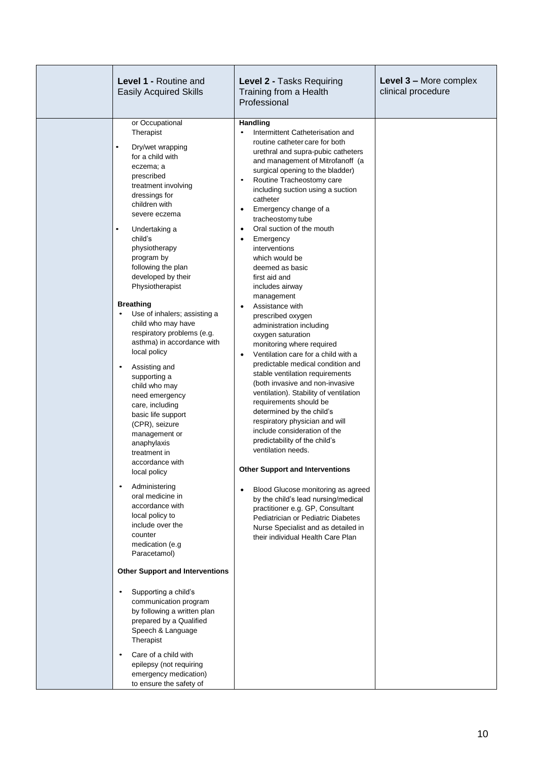|  | Level 1 - Routine and<br><b>Easily Acquired Skills</b>                                                                                                                                                                                                                                                                                                                                                                                                                                           | Level 2 - Tasks Requiring<br>Training from a Health<br>Professional                                                                                                                                                                                                                                                                                                                                                                                                                                                                                                                                                                                                            | Level 3 - More complex<br>clinical procedure |
|--|--------------------------------------------------------------------------------------------------------------------------------------------------------------------------------------------------------------------------------------------------------------------------------------------------------------------------------------------------------------------------------------------------------------------------------------------------------------------------------------------------|--------------------------------------------------------------------------------------------------------------------------------------------------------------------------------------------------------------------------------------------------------------------------------------------------------------------------------------------------------------------------------------------------------------------------------------------------------------------------------------------------------------------------------------------------------------------------------------------------------------------------------------------------------------------------------|----------------------------------------------|
|  | or Occupational<br>Therapist<br>Dry/wet wrapping<br>$\bullet$<br>for a child with<br>eczema; a<br>prescribed<br>treatment involving<br>dressings for<br>children with<br>severe eczema<br>Undertaking a<br>$\bullet$<br>child's<br>physiotherapy<br>program by<br>following the plan<br>developed by their<br>Physiotherapist<br><b>Breathing</b><br>Use of inhalers; assisting a<br>$\bullet$<br>child who may have<br>respiratory problems (e.g.<br>asthma) in accordance with<br>local policy | Handling<br>Intermittent Catheterisation and<br>routine catheter care for both<br>urethral and supra-pubic catheters<br>and management of Mitrofanoff (a<br>surgical opening to the bladder)<br>Routine Tracheostomy care<br>including suction using a suction<br>catheter<br>Emergency change of a<br>$\bullet$<br>tracheostomy tube<br>Oral suction of the mouth<br>$\bullet$<br>Emergency<br>$\bullet$<br>interventions<br>which would be<br>deemed as basic<br>first aid and<br>includes airway<br>management<br>Assistance with<br>prescribed oxygen<br>administration including<br>oxygen saturation<br>monitoring where required<br>Ventilation care for a child with a |                                              |
|  | Assisting and<br>supporting a<br>child who may<br>need emergency<br>care, including<br>basic life support<br>(CPR), seizure<br>management or<br>anaphylaxis<br>treatment in<br>accordance with<br>local policy                                                                                                                                                                                                                                                                                   | predictable medical condition and<br>stable ventilation requirements<br>(both invasive and non-invasive<br>ventilation). Stability of ventilation<br>requirements should be<br>determined by the child's<br>respiratory physician and will<br>include consideration of the<br>predictability of the child's<br>ventilation needs.<br><b>Other Support and Interventions</b>                                                                                                                                                                                                                                                                                                    |                                              |
|  | Administering<br>oral medicine in<br>accordance with<br>local policy to<br>include over the<br>counter<br>medication (e.g<br>Paracetamol)                                                                                                                                                                                                                                                                                                                                                        | Blood Glucose monitoring as agreed<br>by the child's lead nursing/medical<br>practitioner e.g. GP, Consultant<br>Pediatrician or Pediatric Diabetes<br>Nurse Specialist and as detailed in<br>their individual Health Care Plan                                                                                                                                                                                                                                                                                                                                                                                                                                                |                                              |
|  | <b>Other Support and Interventions</b><br>Supporting a child's<br>communication program<br>by following a written plan<br>prepared by a Qualified<br>Speech & Language<br>Therapist<br>Care of a child with<br>epilepsy (not requiring<br>emergency medication)<br>to ensure the safety of                                                                                                                                                                                                       |                                                                                                                                                                                                                                                                                                                                                                                                                                                                                                                                                                                                                                                                                |                                              |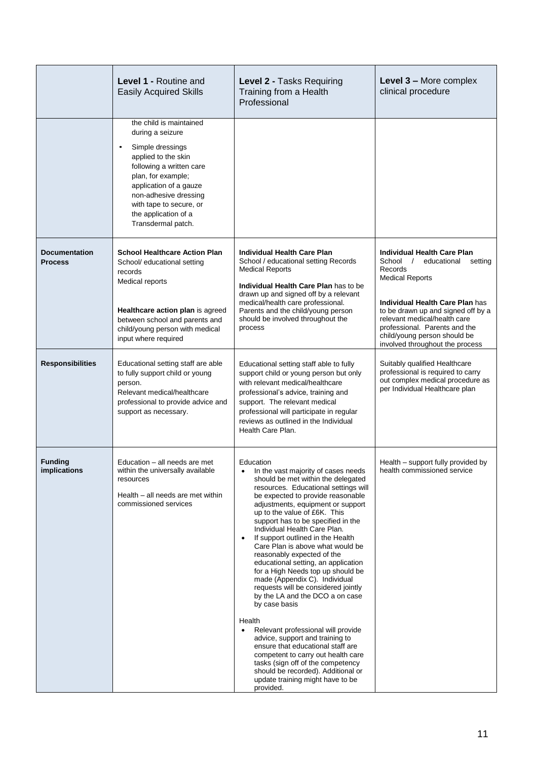|                                        | Level 1 - Routine and<br><b>Easily Acquired Skills</b>                                                                                                                                                                                                               | Level 2 - Tasks Requiring<br>Training from a Health<br>Professional                                                                                                                                                                                                                                                                                                                                                                                                                                                                                                                                                                                                                                                                                                                                                                                                                                                                               | Level 3 - More complex<br>clinical procedure                                                                                                                                                                                                                                                                        |
|----------------------------------------|----------------------------------------------------------------------------------------------------------------------------------------------------------------------------------------------------------------------------------------------------------------------|---------------------------------------------------------------------------------------------------------------------------------------------------------------------------------------------------------------------------------------------------------------------------------------------------------------------------------------------------------------------------------------------------------------------------------------------------------------------------------------------------------------------------------------------------------------------------------------------------------------------------------------------------------------------------------------------------------------------------------------------------------------------------------------------------------------------------------------------------------------------------------------------------------------------------------------------------|---------------------------------------------------------------------------------------------------------------------------------------------------------------------------------------------------------------------------------------------------------------------------------------------------------------------|
|                                        | the child is maintained<br>during a seizure<br>Simple dressings<br>applied to the skin<br>following a written care<br>plan, for example;<br>application of a gauze<br>non-adhesive dressing<br>with tape to secure, or<br>the application of a<br>Transdermal patch. |                                                                                                                                                                                                                                                                                                                                                                                                                                                                                                                                                                                                                                                                                                                                                                                                                                                                                                                                                   |                                                                                                                                                                                                                                                                                                                     |
| <b>Documentation</b><br><b>Process</b> | <b>School Healthcare Action Plan</b><br>School/ educational setting<br>records<br>Medical reports<br>Healthcare action plan is agreed<br>between school and parents and<br>child/young person with medical<br>input where required                                   | <b>Individual Health Care Plan</b><br>School / educational setting Records<br><b>Medical Reports</b><br>Individual Health Care Plan has to be<br>drawn up and signed off by a relevant<br>medical/health care professional.<br>Parents and the child/young person<br>should be involved throughout the<br>process                                                                                                                                                                                                                                                                                                                                                                                                                                                                                                                                                                                                                                 | Individual Health Care Plan<br>School /<br>educational<br>setting<br>Records<br><b>Medical Reports</b><br>Individual Health Care Plan has<br>to be drawn up and signed off by a<br>relevant medical/health care<br>professional. Parents and the<br>child/young person should be<br>involved throughout the process |
| <b>Responsibilities</b>                | Educational setting staff are able<br>to fully support child or young<br>person.<br>Relevant medical/healthcare<br>professional to provide advice and<br>support as necessary.                                                                                       | Educational setting staff able to fully<br>support child or young person but only<br>with relevant medical/healthcare<br>professional's advice, training and<br>support. The relevant medical<br>professional will participate in regular<br>reviews as outlined in the Individual<br>Health Care Plan.                                                                                                                                                                                                                                                                                                                                                                                                                                                                                                                                                                                                                                           | Suitably qualified Healthcare<br>professional is required to carry<br>out complex medical procedure as<br>per Individual Healthcare plan                                                                                                                                                                            |
| <b>Funding</b><br><i>implications</i>  | Education - all needs are met<br>within the universally available<br>resources<br>Health - all needs are met within<br>commissioned services                                                                                                                         | Education<br>In the vast majority of cases needs<br>should be met within the delegated<br>resources. Educational settings will<br>be expected to provide reasonable<br>adjustments, equipment or support<br>up to the value of £6K. This<br>support has to be specified in the<br>Individual Health Care Plan.<br>If support outlined in the Health<br>$\bullet$<br>Care Plan is above what would be<br>reasonably expected of the<br>educational setting, an application<br>for a High Needs top up should be<br>made (Appendix C). Individual<br>requests will be considered jointly<br>by the LA and the DCO a on case<br>by case basis<br>Health<br>Relevant professional will provide<br>$\bullet$<br>advice, support and training to<br>ensure that educational staff are<br>competent to carry out health care<br>tasks (sign off of the competency<br>should be recorded). Additional or<br>update training might have to be<br>provided. | Health - support fully provided by<br>health commissioned service                                                                                                                                                                                                                                                   |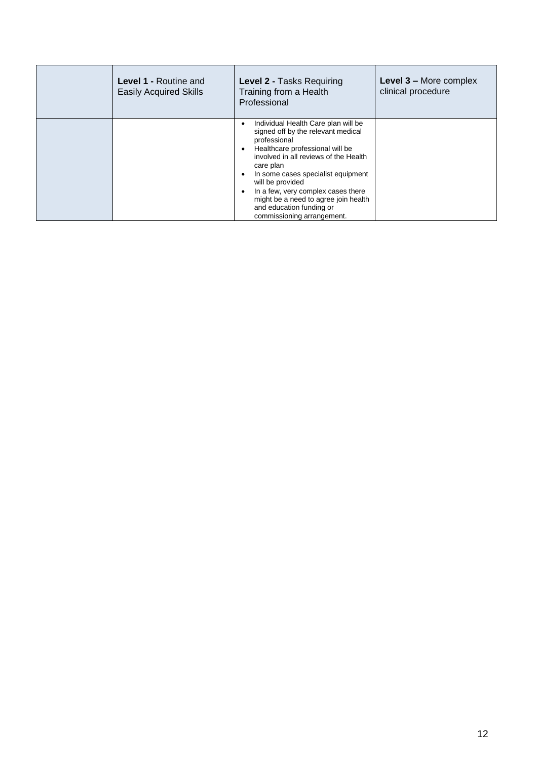| <b>Level 1 - Routine and</b><br><b>Easily Acquired Skills</b> | Level 2 - Tasks Requiring<br>Training from a Health<br>Professional                                                                                                                                                                                                                                                                                                                                                                | Level 3 - More complex<br>clinical procedure |
|---------------------------------------------------------------|------------------------------------------------------------------------------------------------------------------------------------------------------------------------------------------------------------------------------------------------------------------------------------------------------------------------------------------------------------------------------------------------------------------------------------|----------------------------------------------|
|                                                               | Individual Health Care plan will be<br>٠<br>signed off by the relevant medical<br>professional<br>Healthcare professional will be<br>$\epsilon$<br>involved in all reviews of the Health<br>care plan<br>In some cases specialist equipment<br>$\bullet$<br>will be provided<br>In a few, very complex cases there<br>$\epsilon$<br>might be a need to agree join health<br>and education funding or<br>commissioning arrangement. |                                              |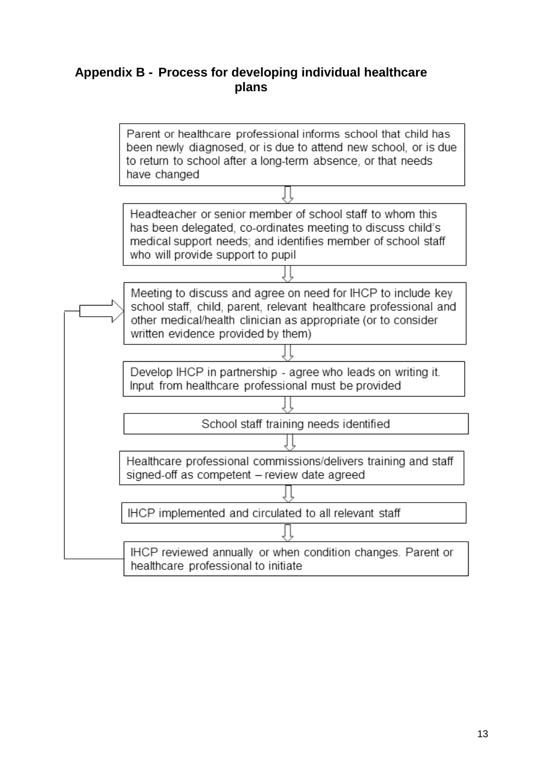### **Appendix B - Process for developing individual healthcare plans**

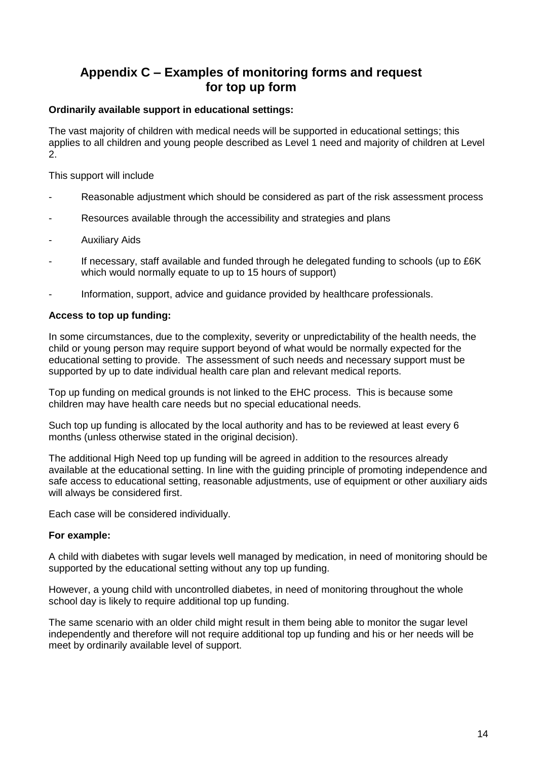### **Appendix C – Examples of monitoring forms and request for top up form**

#### **Ordinarily available support in educational settings:**

The vast majority of children with medical needs will be supported in educational settings; this applies to all children and young people described as Level 1 need and majority of children at Level 2.

This support will include

- Reasonable adjustment which should be considered as part of the risk assessment process
- Resources available through the accessibility and strategies and plans
- Auxiliary Aids
- If necessary, staff available and funded through he delegated funding to schools (up to £6K) which would normally equate to up to 15 hours of support)
- Information, support, advice and guidance provided by healthcare professionals.

#### **Access to top up funding:**

In some circumstances, due to the complexity, severity or unpredictability of the health needs, the child or young person may require support beyond of what would be normally expected for the educational setting to provide. The assessment of such needs and necessary support must be supported by up to date individual health care plan and relevant medical reports.

Top up funding on medical grounds is not linked to the EHC process. This is because some children may have health care needs but no special educational needs.

Such top up funding is allocated by the local authority and has to be reviewed at least every 6 months (unless otherwise stated in the original decision).

The additional High Need top up funding will be agreed in addition to the resources already available at the educational setting. In line with the guiding principle of promoting independence and safe access to educational setting, reasonable adjustments, use of equipment or other auxiliary aids will always be considered first.

Each case will be considered individually.

#### **For example:**

A child with diabetes with sugar levels well managed by medication, in need of monitoring should be supported by the educational setting without any top up funding.

However, a young child with uncontrolled diabetes, in need of monitoring throughout the whole school day is likely to require additional top up funding.

The same scenario with an older child might result in them being able to monitor the sugar level independently and therefore will not require additional top up funding and his or her needs will be meet by ordinarily available level of support.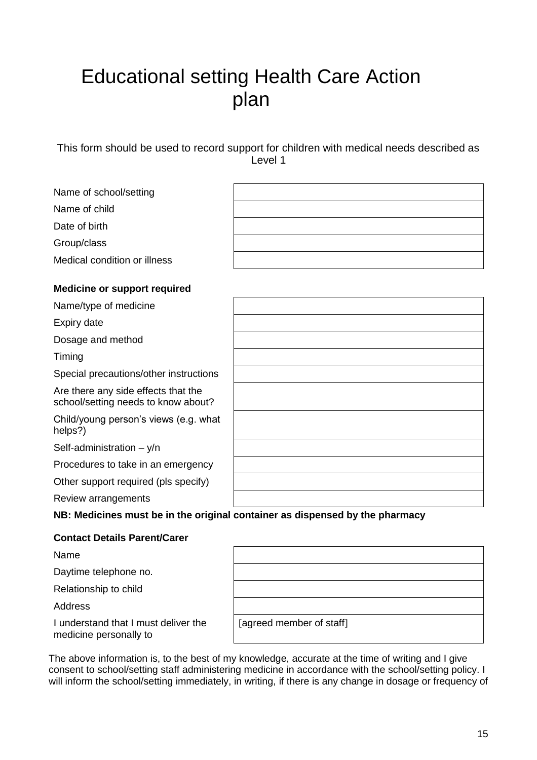## Educational setting Health Care Action plan

This form should be used to record support for children with medical needs described as Level 1

| Name of school/setting                                                     |                                                                              |
|----------------------------------------------------------------------------|------------------------------------------------------------------------------|
| Name of child                                                              |                                                                              |
| Date of birth                                                              |                                                                              |
| Group/class                                                                |                                                                              |
| Medical condition or illness                                               |                                                                              |
| <b>Medicine or support required</b>                                        |                                                                              |
| Name/type of medicine                                                      |                                                                              |
| Expiry date                                                                |                                                                              |
| Dosage and method                                                          |                                                                              |
| Timing                                                                     |                                                                              |
| Special precautions/other instructions                                     |                                                                              |
| Are there any side effects that the<br>school/setting needs to know about? |                                                                              |
| Child/young person's views (e.g. what<br>helps?)                           |                                                                              |
| Self-administration $-$ y/n                                                |                                                                              |
| Procedures to take in an emergency                                         |                                                                              |
| Other support required (pls specify)                                       |                                                                              |
| Review arrangements                                                        |                                                                              |
|                                                                            | NB: Medicines must be in the original container as dispensed by the pharmacy |

### **Contact Details Parent/Carer**

Name

Daytime telephone no.

Relationship to child

Address

I understand that I must deliver the medicine personally to

| [agreed member of staff] |  |
|--------------------------|--|
|                          |  |

The above information is, to the best of my knowledge, accurate at the time of writing and I give consent to school/setting staff administering medicine in accordance with the school/setting policy. I will inform the school/setting immediately, in writing, if there is any change in dosage or frequency of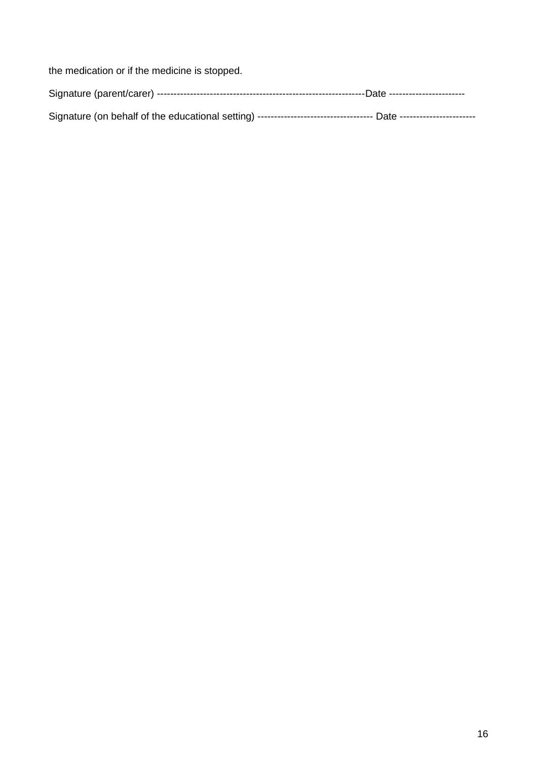the medication or if the medicine is stopped.

| Signature (on behalf of the educational setting) ----------------------------------- Date -------------------- |  |
|----------------------------------------------------------------------------------------------------------------|--|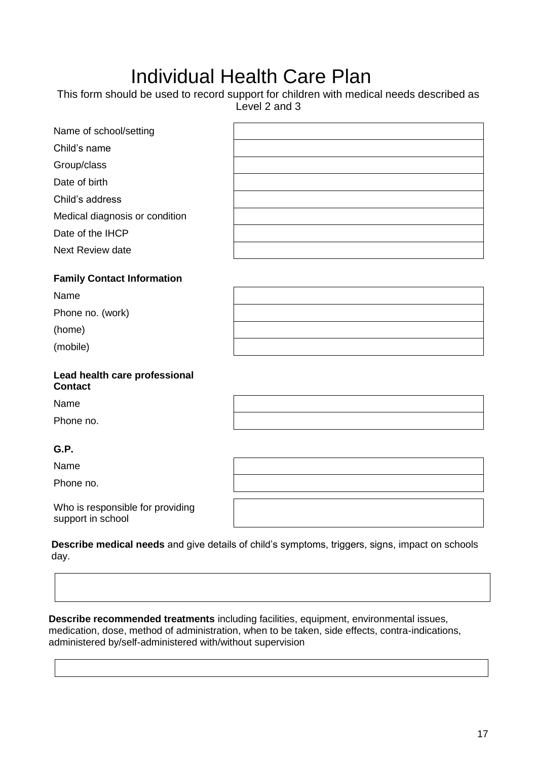## Individual Health Care Plan

|                                                 | This form should be used to record support for children with medical needs described as<br>Level 2 and 3 |
|-------------------------------------------------|----------------------------------------------------------------------------------------------------------|
| Name of school/setting                          |                                                                                                          |
| Child's name                                    |                                                                                                          |
| Group/class                                     |                                                                                                          |
| Date of birth                                   |                                                                                                          |
| Child's address                                 |                                                                                                          |
| Medical diagnosis or condition                  |                                                                                                          |
| Date of the IHCP                                |                                                                                                          |
| <b>Next Review date</b>                         |                                                                                                          |
| <b>Family Contact Information</b>               |                                                                                                          |
| Name                                            |                                                                                                          |
| Phone no. (work)                                |                                                                                                          |
| (home)                                          |                                                                                                          |
| (mobile)                                        |                                                                                                          |
| Lead health care professional<br><b>Contact</b> |                                                                                                          |
| Name                                            |                                                                                                          |
| Phone no.                                       |                                                                                                          |
| G.P.                                            |                                                                                                          |
| Name                                            |                                                                                                          |
| Phone no.                                       |                                                                                                          |
| Who is responsible for providing                |                                                                                                          |

support in school

**Describe medical needs** and give details of child's symptoms, triggers, signs, impact on schools day.

**Describe recommended treatments** including facilities, equipment, environmental issues, medication, dose, method of administration, when to be taken, side effects, contra-indications, administered by/self-administered with/without supervision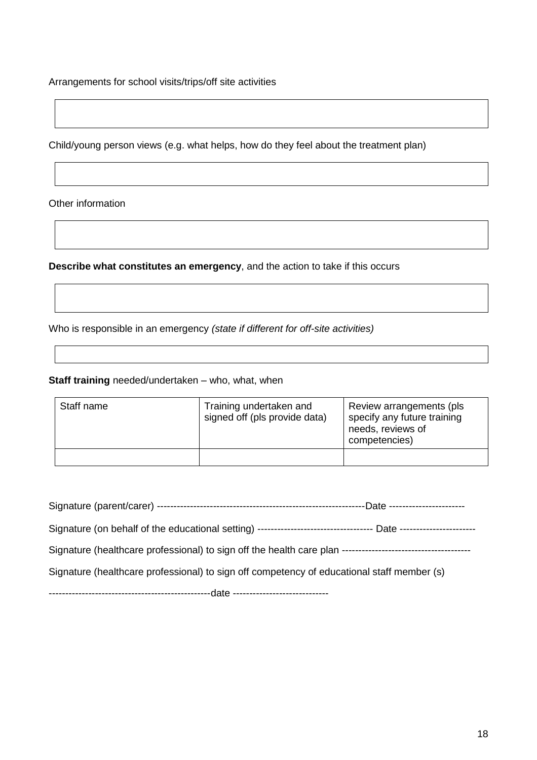Arrangements for school visits/trips/off site activities

Child/young person views (e.g. what helps, how do they feel about the treatment plan)

Other information

**Describe what constitutes an emergency**, and the action to take if this occurs

Who is responsible in an emergency *(state if different for off-site activities)*

### **Staff training** needed/undertaken – who, what, when

| Staff name | Training undertaken and<br>signed off (pls provide data) | Review arrangements (pls.<br>specify any future training<br>needs, reviews of<br>competencies) |
|------------|----------------------------------------------------------|------------------------------------------------------------------------------------------------|
|            |                                                          |                                                                                                |

| Signature (on behalf of the educational setting) ----------------------------------- Date -------------------- |
|----------------------------------------------------------------------------------------------------------------|
|                                                                                                                |
| Signature (healthcare professional) to sign off competency of educational staff member (s)                     |
|                                                                                                                |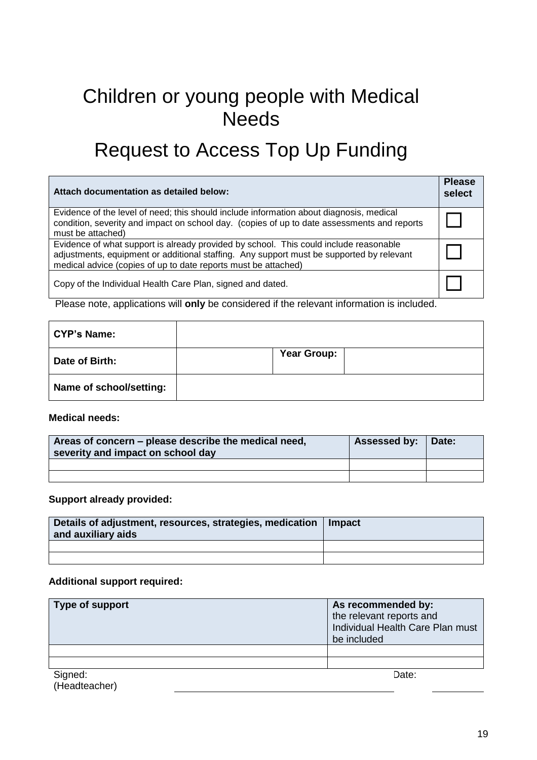## Children or young people with Medical **Needs**

## Request to Access Top Up Funding

| Attach documentation as detailed below:                                                                                                                                                                                                             | <b>Please</b><br>select |
|-----------------------------------------------------------------------------------------------------------------------------------------------------------------------------------------------------------------------------------------------------|-------------------------|
| Evidence of the level of need; this should include information about diagnosis, medical<br>condition, severity and impact on school day. (copies of up to date assessments and reports<br>must be attached)                                         |                         |
| Evidence of what support is already provided by school. This could include reasonable<br>adjustments, equipment or additional staffing. Any support must be supported by relevant<br>medical advice (copies of up to date reports must be attached) |                         |
| Copy of the Individual Health Care Plan, signed and dated.                                                                                                                                                                                          |                         |

Please note, applications will **only** be considered if the relevant information is included.

| <b>CYP's Name:</b>      |             |  |
|-------------------------|-------------|--|
| Date of Birth:          | Year Group: |  |
| Name of school/setting: |             |  |

**Medical needs:**

| Areas of concern – please describe the medical need,<br>severity and impact on school day | Assessed by: Date: |  |
|-------------------------------------------------------------------------------------------|--------------------|--|
|                                                                                           |                    |  |
|                                                                                           |                    |  |

#### **Support already provided:**

| Details of adjustment, resources, strategies, medication   Impact<br>and auxiliary aids |  |
|-----------------------------------------------------------------------------------------|--|
|                                                                                         |  |
|                                                                                         |  |

### **Additional support required:**

| Type of support          | As recommended by:<br>the relevant reports and<br>Individual Health Care Plan must<br>be included |
|--------------------------|---------------------------------------------------------------------------------------------------|
|                          |                                                                                                   |
|                          |                                                                                                   |
| Signed:<br>(Headteacher) | Date:                                                                                             |